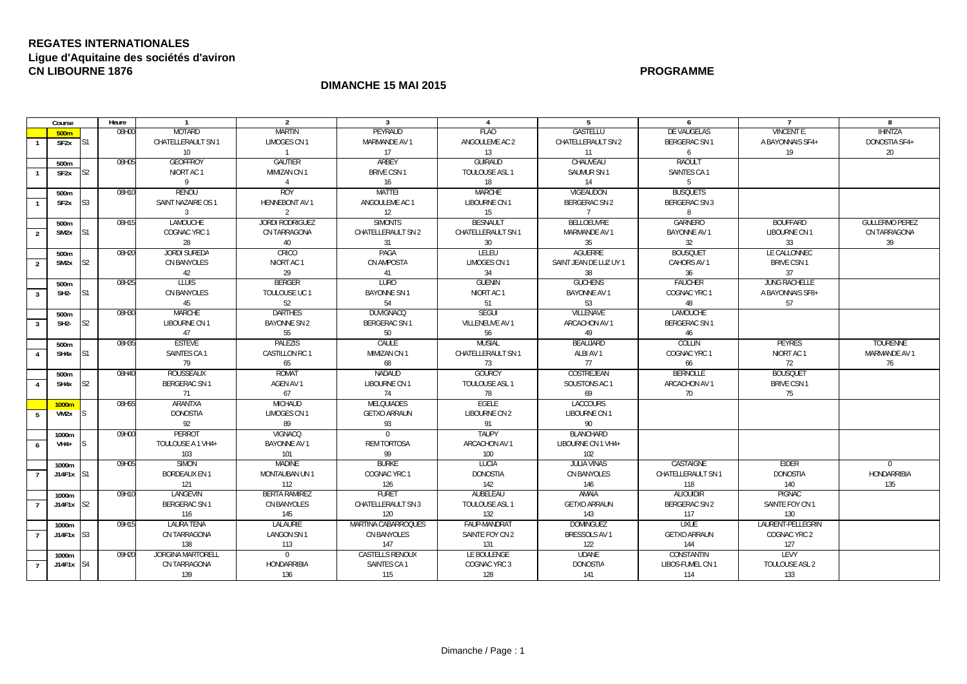## **REGATES INTERNATIONALES Ligue d'Aquitaine des sociétés d'aviron CN LIBOURNE 1876PROGRAMME**

## **DIMANCHE 15 MAI 2015**

|                | Course                  |                 | Heure | $\overline{1}$           | $\overline{2}$         | $\overline{3}$         | $\overline{4}$     | 5                      | 6                    |                      | 8                     |
|----------------|-------------------------|-----------------|-------|--------------------------|------------------------|------------------------|--------------------|------------------------|----------------------|----------------------|-----------------------|
|                | 500 <sub>m</sub>        |                 | 08H00 | <b>MOTARD</b>            | <b>MARTIN</b>          | PEYRAUD                | <b>FLAO</b>        | GASTELLU               | DE VAUGELAS          | VINCENT E.           | <b>IHINTZA</b>        |
|                | SF2x                    | IS <sub>1</sub> |       | CHATELLERAULT SN 1       | LIMOGES CN 1           | MARMANDE AV 1          | ANGOULEME AC 2     | CHATELLERAULT SN 2     | BERGERAC SN 1        | A BAYONNAIS SF4+     | DONOSTIA SF4+         |
|                |                         |                 |       | 10 <sup>°</sup>          | $\overline{1}$         | 17                     | 13                 | 11                     | 6                    | 19                   | 20                    |
|                | 500m                    |                 | 08H05 | <b>GEOFFROY</b>          | <b>GAUTIER</b>         | ARBEY                  | <b>GUIRAUD</b>     | CHAUVEAU               | <b>RAOULT</b>        |                      |                       |
|                | SF <sub>2</sub> x       | S2              |       | NIORT AC 1               | MIMIZAN CN 1           | <b>BRIVE CSN 1</b>     | TOULOUSE ASL 1     | SAUMUR SN 1            | SAINTES CA 1         |                      |                       |
|                |                         |                 |       | 9                        | $\overline{4}$         | 16                     | 18                 | 14                     | 5                    |                      |                       |
|                | 500m                    |                 | 08H10 | RENOU                    | <b>ROY</b>             | <b>MATTEI</b>          | <b>MARCHE</b>      | VIGEAUDON              | <b>BUSQUETS</b>      |                      |                       |
|                | SF2x                    | S3              |       | SAINT NAZAIRE OS 1       | <b>HENNEBONT AV 1</b>  | ANGOULEME AC 1         | LIBOURNE CN 1      | <b>BERGERAC SN 2</b>   | <b>BERGERAC SN 3</b> |                      |                       |
|                |                         |                 |       | $\overline{3}$           | $\overline{2}$         | 12                     | 15                 | $\overline{7}$         | 8                    |                      |                       |
|                | 500m                    |                 | 08H15 | <b>LAMOUCHE</b>          | <b>JORDI RODRIGUEZ</b> | <b>SIMONTS</b>         | <b>BESNAULT</b>    | <b>BELLOEUVRE</b>      | <b>GARNERO</b>       | <b>BOUFFARD</b>      | <b>GULLERMO PEREZ</b> |
| $\overline{2}$ | SM2x                    | S1              |       | COGNAC YRC 1             | CN TARRAGONA           | CHATELLERAULT SN 2     | CHATELLERAULT SN 1 | MARMANDE AV 1          | <b>BAYONNE AV 1</b>  | LIBOURNE CN 1        | CN TARRAGONA          |
|                |                         |                 |       | 28                       | 40                     | 31                     | 30                 | 35                     | 32                   | 33                   | 39                    |
|                | 500m                    |                 | 08H20 | <b>JORDI SUREDA</b>      | CRICO                  | PAGA                   | <b>LELEU</b>       | <b>AGUERRE</b>         | <b>BOUSQUET</b>      | LE CALLONNEC         |                       |
| 2              | SM <sub>2x</sub>        | S <sub>2</sub>  |       | CN BANYOLES              | NIORT AC 1             | CN AMPOSTA             | LIMOGES CN 1       | SAINT JEAN DE LUZ UY 1 | CAHORS AV 1          | <b>BRIVE CSN 1</b>   |                       |
|                |                         |                 |       | 42                       | 29                     | 41                     | 34                 | 38                     | 36                   | 37                   |                       |
|                | 500m                    |                 | 08H25 | <b>TIUIS</b>             | <b>BERGER</b>          | <b>LURO</b>            | GUENIN             | <b>GUCHENS</b>         | <b>FAUCHER</b>       | <b>JUNG RACHELLE</b> |                       |
| $\overline{3}$ | SH <sub>2</sub>         | S1              |       | <b>CN BANYOLES</b>       | TOULOUSE UC 1          | <b>BAYONNE SN1</b>     | NIORT AC 1         | <b>BAYONNE AV 1</b>    | COGNAC YRC 1         | A BAYONNAIS SF8+     |                       |
|                |                         |                 |       | 45                       | 52                     | 54                     | 51                 | 53                     | 48                   | 57                   |                       |
|                | 500m                    |                 | 08H30 | <b>MARCHE</b>            | <b>DARTHES</b>         | <b>DUVIGNACQ</b>       | <b>SEGUI</b>       | <b>VILLENAVE</b>       | <b>LAMOUCHE</b>      |                      |                       |
| $\overline{3}$ | SH <sub>2</sub>         | S <sub>2</sub>  |       | LIBOURNE CN 1            | BAYONNE SN 2           | BERGERAC SN 1          | VILLENEUVE AV 1    | ARCACHON AV 1          | BERGERAC SN 1        |                      |                       |
|                |                         |                 |       | 47                       | 55                     | 50                     | 56                 | 49                     | 46                   |                      |                       |
|                | 500m                    |                 | 08H35 | <b>ESTEVE</b>            | <b>PALEZIS</b>         | CAULE                  | <b>MUSIAL</b>      | <b>BEAUJARD</b>        | <b>COLLIN</b>        | <b>PEYRES</b>        | <b>TOURENNE</b>       |
|                | SH4x S1                 |                 |       | SAINTES CA1              | CASTILLON RC 1         | MIMIZAN CN 1           | CHATELLERAULT SN 1 | ALBI AV 1              | COGNAC YRC 1         | NIORT AC 1           | MARMANDE AV 1         |
|                |                         |                 |       | 79                       | 65                     | 68                     | 73                 | 77                     | 66                   | 72                   | 76                    |
|                | 500m                    |                 | 08H40 | ROUSSEAUX                | ROMAT                  | NADAUD                 | <b>GOURCY</b>      | COSTREJEAN             | <b>BERNOLLE</b>      | <b>BOUSQUET</b>      |                       |
|                | SH4x                    | S <sub>2</sub>  |       | <b>BERGERAC SN 1</b>     | AGEN AV 1              | LIBOURNE CN 1          | TOULOUSE ASL 1     | SOUSTONS AC 1          | ARCACHON AV 1        | <b>BRIVE CSN 1</b>   |                       |
|                |                         |                 |       | 71                       | 67                     | 74                     | 78                 | 69                     | 70                   | 75                   |                       |
|                | 1000m                   |                 | 08H55 | ARANTXA                  | <b>MICHAUD</b>         | <b>MELQUIADES</b>      | <b>EGELE</b>       | <b>LACCOURS</b>        |                      |                      |                       |
| -5             | VM2x                    | S.              |       | <b>DONOSTIA</b>          | <b>LIMOGES CN 1</b>    | <b>GETXO ARRAUN</b>    | LIBOURNE CN 2      | <b>LIBOURNE CN1</b>    |                      |                      |                       |
|                |                         |                 |       | 92                       | 89                     | 93                     | 91                 | 90                     |                      |                      |                       |
|                | 1000m                   |                 | 09H00 | PERROT                   | VIGNACQ                | $\Omega$               | TAUPY              | <b>BLANCHARD</b>       |                      |                      |                       |
| 6              | VH4+                    |                 |       | TOULOUSE A 1 VH4+        | <b>BAYONNE AV 1</b>    | <b>REM TORTOSA</b>     | ARCACHON AV 1      | LIBOURNE CN 1 VH4+     |                      |                      |                       |
|                |                         |                 |       | 103                      | 101                    | 99                     | 100                | 102                    |                      |                      |                       |
|                | 1000m                   |                 | 09H05 | <b>SIMON</b>             | <b>MADINE</b>          | <b>BURKE</b>           | LUCIA              | <b>JULIA VINAS</b>     | <b>CASTAIGNE</b>     | EIDER                | $\Omega$              |
| $\overline{7}$ | $J14F1x$ S1             |                 |       | <b>BORDEAUX EN 1</b>     | <b>MONTAUBAN UN1</b>   | COGNAC YRC 1           | <b>DONOSTIA</b>    | <b>CN BANYOLES</b>     | CHATELLERAULT SN 1   | <b>DONOSTIA</b>      | <b>HONDARRIBIA</b>    |
|                |                         |                 |       | 121                      | 112                    | 126                    | 142                | 146                    | 118                  | 140                  | 135                   |
|                | 1000m                   |                 | 09H10 | <b>LANGEVIN</b>          | <b>BERTA RAMIREZ</b>   | <b>FURET</b>           | AUBELEAU           | AMAIA                  | <b>ALIOUIDIR</b>     | <b>PIGNAC</b>        |                       |
|                | $J14F1x$ S <sub>2</sub> |                 |       | BERGERAC SN 1            | CN BANYOLES            | CHATELLERAULT SN 3     | TOULOUSE ASL 1     | <b>GETXO ARRAUN</b>    | <b>BERGERAC SN 2</b> | SAINTE FOY CN 1      |                       |
|                |                         |                 |       | 116                      | 145                    | 120                    | 132                | 143                    | 117                  | 130                  |                       |
|                | 1000m                   |                 | 09H15 | <b>LAURA TENA</b>        | <b>LALAURIE</b>        | MARTINA CABARROQUES    | FAUP-MANDRAT       | <b>DOMINGUEZ</b>       | <b>UXUE</b>          | LAURENT-PELLEGRIN    |                       |
|                | $J14F1x$ S3             |                 |       | CN TARRAGONA             | <b>LANGON SN1</b>      | CN BANYOLES            | SAINTE FOY CN 2    | BRESSOLS AV 1          | <b>GETXO ARRAUN</b>  | COGNAC YRC 2         |                       |
|                |                         |                 |       | 138                      | 113                    | 147                    | 131                | 122                    | 144                  | 127                  |                       |
|                | 1000m                   |                 | 09H20 | <b>JORGINA MARTORELL</b> | $\Omega$               | <b>CASTELLS RENOUX</b> | LE BOULENGE        | <b>UDANE</b>           | CONSTANTIN           | <b>LEVY</b>          |                       |
| $\overline{7}$ | $J14F1x$ S <sub>4</sub> |                 |       | CN TARRAGONA             | <b>HONDARRIBIA</b>     | SAINTES CA 1           | COGNAC YRC 3       | <b>DONOSTIA</b>        | LIBOS-FUMEL CN 1     | TOULOUSE ASL 2       |                       |
|                |                         |                 |       | 139                      | 136                    | 115                    | 128                | 141                    | 114                  | 133                  |                       |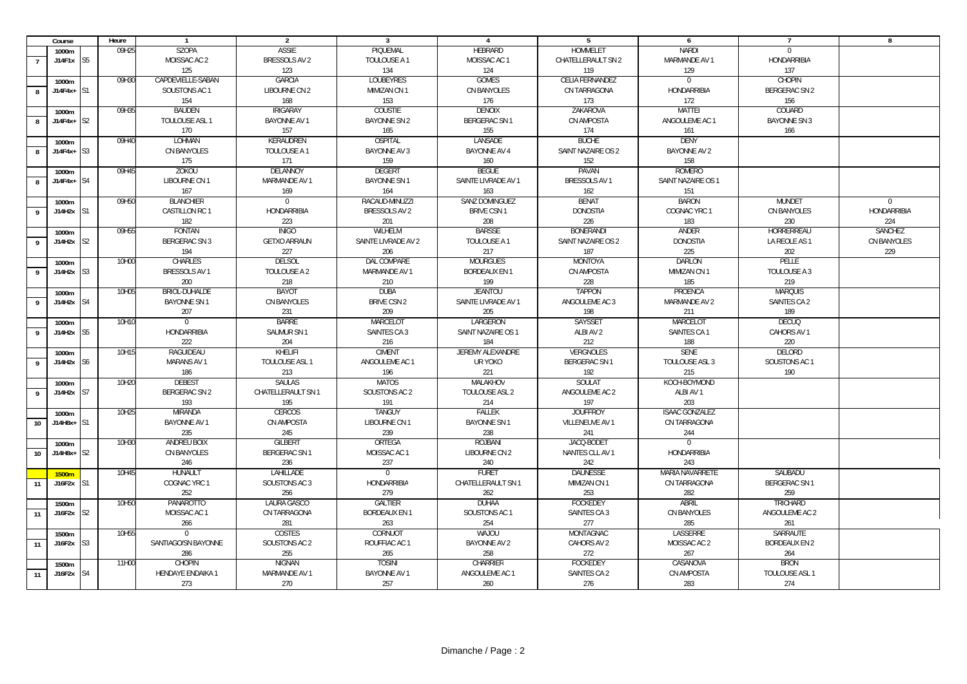|                 | Course             |                | Heure | $\overline{1}$           | $\overline{2}$       | $\mathbf{3}$         | $\overline{4}$       | -5                  | 6                     | $\overline{7}$       | 8              |
|-----------------|--------------------|----------------|-------|--------------------------|----------------------|----------------------|----------------------|---------------------|-----------------------|----------------------|----------------|
|                 | 1000m              |                | 09H25 | <b>SZOPA</b>             | <b>ASSIE</b>         | PIQUEMAL             | <b>HEBRARD</b>       | <b>HOMMELET</b>     | <b>NARDI</b>          | $\overline{0}$       |                |
|                 | J14F1x S5          |                |       | MOISSAC AC 2             | BRESSOLS AV 2        | TOULOUSE A 1         | MOISSAC AC 1         | CHATELLERAULT SN 2  | MARMANDE AV 1         | <b>HONDARRIBIA</b>   |                |
|                 |                    |                |       | 125                      | 123                  | 134                  | 124                  | 119                 | 129                   | 137                  |                |
|                 | 1000m              |                | 09H30 | CAPDEVIELLE-SABAN        | <b>GARCIA</b>        | <b>LOUBEYRES</b>     | <b>GOMES</b>         | CELIA FERNANDEZ     | $\overline{0}$        | <b>CHOPIN</b>        |                |
| 8               | J14F4x+            | S1             |       | SOUSTONS AC 1            | LIBOURNE CN 2        | MIMIZAN CN 1         | CN BANYOLES          | CN TARRAGONA        | <b>HONDARRIBIA</b>    | BERGERAC SN 2        |                |
|                 |                    |                |       | 154                      | 168                  | 153                  | 176                  | 173                 | 172                   | 156                  |                |
|                 |                    |                | 09H35 |                          |                      |                      |                      |                     | <b>MATTEI</b>         | COUARD               |                |
|                 | 1000m              |                |       | <b>BAUDEN</b>            | <b>IRIGARAY</b>      | COUSTIE              | DENOIX               | ZAKAROVA            |                       |                      |                |
| $\mathbf{g}$    | $J14F4x+$          | S2             |       | TOULOUSE ASL 1           | BAYONNE AV 1         | <b>BAYONNE SN 2</b>  | <b>BERGERAC SN1</b>  | CN AMPOSTA          | ANGOULEME AC 1        | <b>BAYONNE SN 3</b>  |                |
|                 |                    |                |       | 170                      | 157                  | 165                  | 155                  | 174                 | 161                   | 166                  |                |
|                 | 1000m              |                | 09H40 | LOHMAN                   | KERAUDREN            | <b>OSPITAL</b>       | LANSADE              | <b>BUCHE</b>        | <b>DENY</b>           |                      |                |
| 8               | J14F4x+            | S3             |       | CN BANYOLES              | TOULOUSE A 1         | <b>BAYONNE AV 3</b>  | BAYONNE AV 4         | SAINT NAZAIRE OS 2  | <b>BAYONNE AV 2</b>   |                      |                |
|                 |                    |                |       | 175                      | 171                  | 159                  | 160                  | 152                 | 158                   |                      |                |
|                 | 1000m              |                | 09H45 | <b>ZOKOU</b>             | DELANNOY             | <b>DEGERT</b>        | <b>BEGUE</b>         | PAVAN               | ROMERO                |                      |                |
| 8               | J14F4x+            | S <sub>4</sub> |       | LIBOURNE CN 1            | MARMANDE AV 1        | <b>BAYONNE SN 1</b>  | SAINTE LIVRADE AV 1  | BRESSOLS AV 1       | SAINT NAZAIRE OS 1    |                      |                |
|                 |                    |                |       | 167                      | 169                  | 164                  | 163                  | 162                 | 151                   |                      |                |
|                 | 1000m              |                | 09H50 | <b>BLANCHIER</b>         | $\overline{0}$       | RACAUD-MINUZZI       | SANZ DOMINGUEZ       | <b>BENAT</b>        | <b>BARON</b>          | <b>MUNDET</b>        | $\Omega$       |
| 9               | J14H2x             | S1             |       | CASTILLON RC 1           | <b>HONDARRIBIA</b>   | BRESSOLS AV 2        | <b>BRIVE CSN 1</b>   | <b>DONOSTIA</b>     | COGNAC YRC 1          | CN BANYOLES          | HONDARRIBIA    |
|                 |                    |                |       | 182                      | 223                  | 201                  | 208                  | 226                 | 183                   | 230                  | 224            |
|                 | 1000m              |                | 09H55 | <b>FONTAN</b>            | <b>INIGO</b>         | WILHELM              | <b>BARSSE</b>        | <b>BONERANDI</b>    | ANDER                 | HORRERREAU           | <b>SANCHEZ</b> |
| 9               | J14H2x             | S <sub>2</sub> |       | <b>BERGERAC SN 3</b>     | <b>GETXO ARRAUN</b>  | SAINTE LIVRADE AV 2  | TOULOUSE A 1         | SAINT NAZAIRE OS 2  | <b>DONOSTIA</b>       | LA REOLE AS 1        | CN BANYOLES    |
|                 |                    |                |       | 194                      | 227                  | 206                  | 217                  | 187                 | 225                   | 202                  | 229            |
|                 |                    |                |       |                          | <b>DELSOL</b>        | DAL COMPARE          | <b>MOURGUES</b>      | <b>MONTOYA</b>      | <b>DARLON</b>         | PELLE                |                |
|                 | 1000m              |                | 10H00 | CHARLES                  |                      |                      |                      |                     |                       |                      |                |
| 9               | J14H2x             | S <sub>3</sub> |       | BRESSOLS AV 1            | TOULOUSE A 2         | MARMANDE AV 1        | <b>BORDEAUX EN 1</b> | CN AMPOSTA          | MIMIZAN CN 1          | TOULOUSE A 3         |                |
|                 |                    |                |       | 200                      | 218                  | 210                  | 199                  | 228                 | 185                   | 219                  |                |
|                 | 1000m              |                | 10H05 | BRIOL-DUHALDE            | <b>BAYOT</b>         | <b>DUBA</b>          | <b>JEANTOU</b>       | <b>TAPPON</b>       | PROENCA               | <b>MARQUIS</b>       |                |
| 9               | J14H2x             | S <sub>4</sub> |       | <b>BAYONNE SN1</b>       | CN BANYOLES          | <b>BRIVE CSN 2</b>   | SAINTE LIVRADE AV 1  | ANGOULEME AC 3      | MARMANDE AV 2         | SAINTES CA 2         |                |
|                 |                    |                |       | 207                      | 231                  | 209                  | 205                  | 198                 | 211                   | 189                  |                |
|                 | 1000m              |                | 10H10 | $\Omega$                 | <b>BARRE</b>         | <b>MARCELOT</b>      | LARGERON             | <b>SAYSSET</b>      | MARCELOT              | <b>DECUQ</b>         |                |
| 9               | J14H2x             | S <sub>5</sub> |       | HONDARRIBIA              | SAUMUR SN 1          | <b>SAINTES CA 3</b>  | SAINT NAZAIRE OS 1   | ALBI AV 2           | SAINTES CA 1          | CAHORS AV 1          |                |
|                 |                    |                |       | 222                      | 204                  | 216                  | 184                  | 212                 | 188                   | 220                  |                |
|                 | 1000m              |                | 10H15 | RAGUIDEAU                | KHELIFI              | <b>CIMENT</b>        | JEREMY ALEXANDRE     | <b>VERGNOLES</b>    | <b>SENE</b>           | DELORD               |                |
| 9               | J14H2x             | S6             |       | <b>MARANS AV 1</b>       | TOULOUSE ASL 1       | ANGOULEME AC 1       | UR YOKO              | <b>BERGERAC SN1</b> | TOULOUSE ASL 3        | SOUSTONS AC 1        |                |
|                 |                    |                |       | 186                      | 213                  | 196                  | 221                  | 192                 | 215                   | 190                  |                |
|                 | 1000m              |                | 10H20 | <b>DEBEST</b>            | <b>SAULAS</b>        | <b>MATOS</b>         | MALAKHOV             | SOULAT              | KOCH-BOYMOND          |                      |                |
| 9               | J14H2x             | S7             |       | BERGERAC SN 2            | CHATELLERAULT SN 1   | SOUSTONS AC 2        | TOULOUSE ASL 2       | ANGOULEME AC 2      | ALBI AV 1             |                      |                |
|                 |                    |                |       | 193                      | 195                  | 191                  | 214                  | 197                 | 203                   |                      |                |
|                 |                    |                | 10H25 | <b>MIRANDA</b>           | <b>CERCOS</b>        | <b>TANGUY</b>        | <b>FALLEK</b>        | <b>JOUFFROY</b>     | <b>ISAAC GONZALEZ</b> |                      |                |
|                 | 1000m<br>$J14H8x+$ | S1             |       | <b>BAYONNE AV 1</b>      | CN AMPOSTA           | LIBOURNE CN 1        | <b>BAYONNE SN1</b>   | VILLENEUVE AV 1     | CN TARRAGONA          |                      |                |
| 10 <sup>1</sup> |                    |                |       |                          |                      |                      |                      |                     |                       |                      |                |
|                 |                    |                |       | 235                      | 245                  | 239                  | 238                  | 241                 | 244                   |                      |                |
|                 | 1000m              |                | 10H30 | ANDREU BOIX              | <b>GILBERT</b>       | ORTEGA               | ROJBANI              | JACQ-BODET          | $\overline{0}$        |                      |                |
| 10 <sup>1</sup> | J14H8x+            | S <sub>2</sub> |       | CN BANYOLES              | <b>BERGERAC SN 1</b> | MOISSAC AC 1         | LIBOURNE CN 2        | NANTES CLL AV 1     | <b>HONDARRIBIA</b>    |                      |                |
|                 |                    |                |       | 246                      | 236                  | 237                  | 240                  | 242                 | 243                   |                      |                |
|                 | 1500m              |                | 10H45 | HUNAULT                  | LAHILLADE            | $\mathbf 0$          | <b>FURET</b>         | <b>DAUNESSE</b>     | MARIA NAVARRETE       | SAUBADU              |                |
| 11              | J16F2x             | S1             |       | COGNAC YRC 1             | SOUSTONS AC 3        | <b>HONDARRIBIA</b>   | CHATELLERAULT SN 1   | MIMIZAN CN 1        | CN TARRAGONA          | <b>BERGERAC SN1</b>  |                |
|                 |                    |                |       | 252                      | 256                  | 279                  | 262                  | 253                 | 282                   | 259                  |                |
|                 | 1500m              |                | 10H50 | <b>PANAROTTO</b>         | LAURA GASCO          | <b>GALTIER</b>       | <b>DUHAA</b>         | <b>FOCKEDEY</b>     | <b>ABRIL</b>          | <b>TRICHARD</b>      |                |
| 11              | J16F2x             | S <sub>2</sub> |       | MOISSAC AC 1             | CN TARRAGONA         | <b>BORDEAUX EN 1</b> | SOUSTONS AC 1        | SAINTES CA 3        | CN BANYOLES           | ANGOULEME AC 2       |                |
|                 |                    |                |       | 266                      | 281                  | 263                  | 254                  | 277                 | 285                   | 261                  |                |
|                 | 1500m              |                | 10H55 | $\overline{0}$           | COSTES               | CORNUOT              | <b>WAJOU</b>         | MONTAGNAC           | LASSERRE              | SARRAUTE             |                |
| 11              | J16F2x             | S <sub>3</sub> |       | SANTIAGO/SN BAYONNE      | SOUSTONS AC 2        | ROUFFIAC AC 1        | BAYONNE AV 2         | CAHORS AV 2         | MOISSAC AC 2          | <b>BORDEAUX EN 2</b> |                |
|                 |                    |                |       | 286                      | 255                  | 265                  | 258                  | 272                 | 267                   | 264                  |                |
|                 | 1500m              |                | 11H00 | <b>CHOPIN</b>            | <b>NIGNAN</b>        | <b>TOSIN</b>         | <b>CHARRIER</b>      | <b>FOCKEDEY</b>     | CASANOVA              | <b>BRON</b>          |                |
| 11              | J16F2x             | S4             |       | <b>HENDAYE ENDAIKA 1</b> | MARMANDE AV 1        | <b>BAYONNE AV 1</b>  | ANGOULEME AC 1       | SAINTES CA 2        | CN AMPOSTA            | TOULOUSE ASL 1       |                |
|                 |                    |                |       | 273                      | 270                  | 257                  | 260                  | 276                 | 283                   | 274                  |                |
|                 |                    |                |       |                          |                      |                      |                      |                     |                       |                      |                |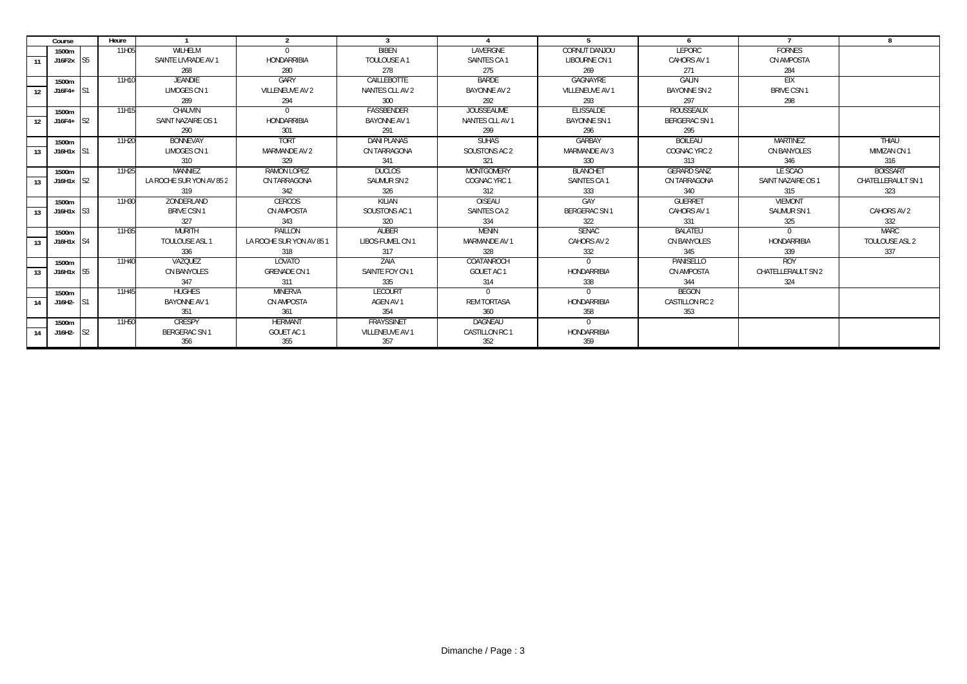|    | Course                  |                | Heure |                          | $\overline{2}$           | 3                  |                     | 5                  | 6                   |                    | $\mathbf{R}$       |
|----|-------------------------|----------------|-------|--------------------------|--------------------------|--------------------|---------------------|--------------------|---------------------|--------------------|--------------------|
|    | 1500m                   |                | 11H05 | WILHELM                  | $\Omega$                 | <b>BIBEN</b>       | LAVERGNE            | CORNUT DANJOU      | <b>LEPORC</b>       | <b>FORNES</b>      |                    |
| 11 | J16F2x S5               |                |       | SAINTE LIVRADE AV 1      | HONDARRIBIA              | TOULOUSE A 1       | SAINTES CA 1        | LIBOURNE CN 1      | CAHORS AV 1         | CN AMPOSTA         |                    |
|    |                         |                |       | 268                      | 280                      | 278                | 275                 | 269                | 271                 | 284                |                    |
|    | 1500m                   |                | 11H10 | <b>JEANDIE</b>           | GARY                     | CAILLEBOTTE        | <b>BARDE</b>        | GAGNAYRE           | GALIN               | EIX                |                    |
| 12 | J16F4+                  | IS1            |       | LIMOGES CN 1             | <b>VILLENEUVE AV 2</b>   | NANTES CLL AV 2    | <b>BAYONNE AV 2</b> | VILLENEUVE AV 1    | <b>BAYONNE SN 2</b> | <b>BRIVE CSN1</b>  |                    |
|    |                         |                |       | 289                      | 294                      | 300                | 292                 | 293                | 297                 | 298                |                    |
|    | 1500m                   |                | 11H15 | CHAUVIN                  |                          | <b>FASSBENDER</b>  | <b>JOUSSEAUME</b>   | <b>FLISSALDE</b>   | <b>ROUSSEAUX</b>    |                    |                    |
| 12 | J16F4+                  | S <sub>2</sub> |       | SAINT NAZAIRE OS 1       | HONDARRIBIA              | BAYONNE AV 1       | NANTES CLL AV 1     | <b>BAYONNE SN1</b> | BERGERAC SN 1       |                    |                    |
|    |                         |                |       | 290                      | 301                      | 291                | 299                 | 296                | 295                 |                    |                    |
|    | 1500m                   |                | 11H20 | <b>BONNEVAY</b>          | <b>TORT</b>              | <b>DANI PLANAS</b> | <b>SUHAS</b>        | GARBAY             | <b>BOILEAU</b>      | <b>MARTINEZ</b>    | THIAU              |
| 13 | J16H1x S1               |                |       | LIMOGES CN 1             | MARMANDE AV 2            | CN TARRAGONA       | SOUSTONS AC 2       | MARMANDE AV 3      | COGNAC YRC 2        | CN BANYOLES        | MIMIZAN CN 1       |
|    |                         |                |       | 310                      | 329                      | 341                | 321                 | 330                | 313                 | 346                | 316                |
|    | 1500m                   |                | 11H25 | MANNIEZ                  | RAMON LOPEZ              | <b>DUCLOS</b>      | MONTGOMERY          | <b>BLANCHET</b>    | <b>GERARD SANZ</b>  | LE SCAO            | <b>BOISSART</b>    |
| 13 | $J16H1x$ S <sub>2</sub> |                |       | LA ROCHE SUR YON AV 85 2 | CN TARRAGONA             | SAUMUR SN 2        | COGNAC YRC 1        | SAINTES CA 1       | CN TARRAGONA        | SAINT NAZAIRE OS 1 | CHATELLERAULT SN 1 |
|    |                         |                |       | 319                      | 342                      | 326                | 312                 | 333                | 340                 | 315                | 323                |
|    | 1500m                   |                | 11H30 | ZONDERLAND               | <b>CERCOS</b>            | KILIAN             | OISEAU              | GAY                | <b>GUERRET</b>      | <b>VIEMONT</b>     |                    |
| 13 | J16H1x S3               |                |       | <b>BRIVE CSN 1</b>       | <b>CN AMPOSTA</b>        | SOUSTONS AC 1      | SAINTES CA 2        | BERGERAC SN 1      | CAHORS AV 1         | SAUMUR SN 1        | CAHORS AV 2        |
|    |                         |                |       | 327                      | 343                      | 320                | 334                 | 322                | 331                 | 325                | 332                |
|    | 1500m                   |                | 11H35 | <b>MURITH</b>            | PAILLON                  | <b>AUBER</b>       | <b>MENIN</b>        | <b>SENAC</b>       | <b>BALATEU</b>      | $\Omega$           | <b>MARC</b>        |
| 13 | J16H1x S4               |                |       | TOULOUSE ASL 1           | LA ROCHE SUR YON AV 85 1 | LIBOS-FUMEL CN 1   | MARMANDE AV 1       | CAHORS AV 2        | CN BANYOLES         | HONDARRIBIA        | TOULOUSE ASL 2     |
|    |                         |                |       | 336                      | 318                      | 317                | 328                 | 332                | 345                 | 339                | 337                |
|    | 1500m                   |                | 11H40 | VAZQUEZ                  | LOVATO                   | 7AIA               | COATANROCH          | $\Omega$           | PANISELLO           | <b>ROY</b>         |                    |
| 13 | J16H1x S5               |                |       | <b>CN BANYOLES</b>       | <b>GRENADE CN 1</b>      | SAINTE FOY CN 1    | GOUET AC 1          | <b>HONDARRIBIA</b> | <b>CN AMPOSTA</b>   | CHATELLERAULT SN 2 |                    |
|    |                         |                |       | 347                      | 311                      | 335                | 314                 | 338                | 344                 | 324                |                    |
|    | 1500m                   |                | 11H45 | <b>HUGHES</b>            | <b>MINERVA</b>           | LECOURT            |                     | $\Omega$           | <b>BEGON</b>        |                    |                    |
| 14 | J16H2-                  | S1             |       | BAYONNE AV 1             | CN AMPOSTA               | AGEN AV 1          | <b>REM TORTASA</b>  | HONDARRIBIA        | CASTILLON RC 2      |                    |                    |
|    |                         |                |       | 351                      | 361                      | 354                | 360                 | 358                | 353                 |                    |                    |
|    | 1500m                   |                | 11H50 | <b>CRESPY</b>            | <b>HERMANT</b>           | <b>FRAYSSINET</b>  | DAGNEAU             | $\Omega$           |                     |                    |                    |
| 14 | J16H2-                  | S <sub>2</sub> |       | BERGERAC SN 1            | GOUET AC 1               | VILLENEUVE AV 1    | CASTILLON RC 1      | HONDARRIBIA        |                     |                    |                    |
|    |                         |                |       | 356                      | 355                      | 357                | 352                 | 359                |                     |                    |                    |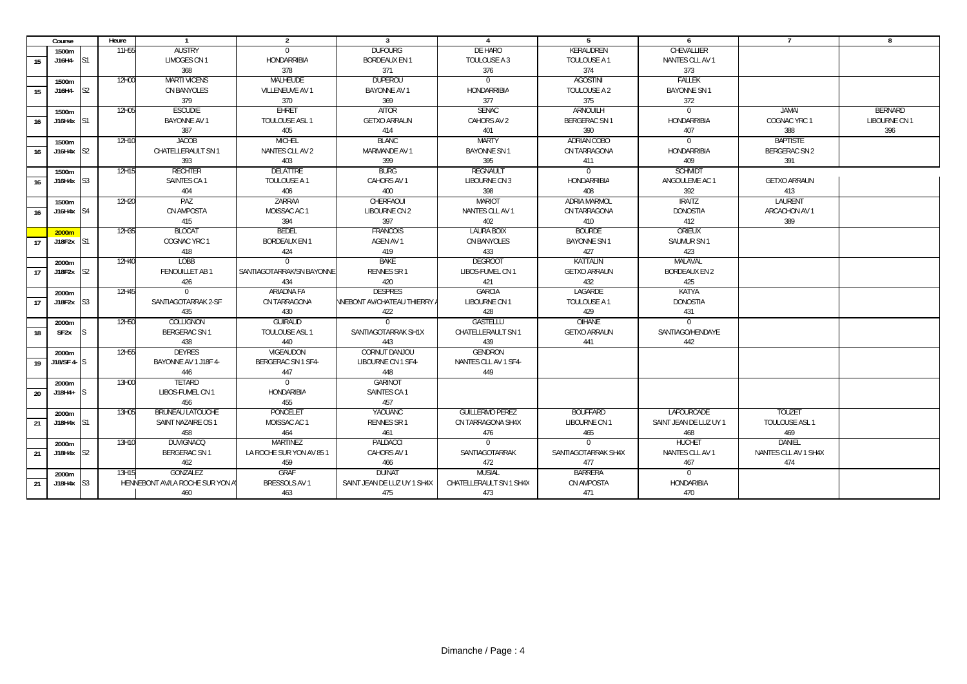|    | Course                  |                | Heure             |                                  | $\overline{2}$            | $\overline{3}$                      | $\mathbf{\Lambda}$      | 5                   | 6                      | $\overline{7}$       | 8             |
|----|-------------------------|----------------|-------------------|----------------------------------|---------------------------|-------------------------------------|-------------------------|---------------------|------------------------|----------------------|---------------|
|    | 1500m                   |                | 11H <sub>55</sub> | <b>AUSTRY</b>                    | $\mathbf{0}$              | <b>DUFOURG</b>                      | <b>DE HARO</b>          | KERAUDREN           | CHEVALLIER             |                      |               |
| 15 | $J16H4 - S1$            |                |                   | <b>LIMOGES CN1</b>               | HONDARRIBIA               | <b>BORDEAUX EN 1</b>                | TOULOUSE A 3            | TOULOUSE A 1        | NANTES CLL AV 1        |                      |               |
|    |                         |                |                   | 368                              | 378                       | 371                                 | 376                     | 374                 | 373                    |                      |               |
|    | 1500m                   |                | 12H00             | <b>MARTI VICENS</b>              | MALHEUDE                  | <b>DUPEROU</b>                      | $\Omega$                | <b>AGOSTINI</b>     | FALLEK                 |                      |               |
| 15 | J16H4-                  | S <sub>2</sub> |                   | CN BANYOLES                      | VILLENEUVE AV 1           | <b>BAYONNE AV 1</b>                 | <b>HONDARRIBIA</b>      | TOULOUSE A 2        | <b>BAYONNE SN1</b>     |                      |               |
|    |                         |                |                   | 379                              | 370                       | 369                                 | 377                     | 375                 | 372                    |                      |               |
|    | 1500m                   |                | 12H05             | <b>ESCUDIE</b>                   | <b>EHRET</b>              | AITOR                               | <b>SENAC</b>            | ARNOUILH            | $\overline{0}$         | JAMAI                | BERNARD       |
| 16 | J16H4x S1               |                |                   | <b>BAYONNE AV 1</b>              | TOULOUSE ASL 1            | <b>GETXO ARRAUN</b>                 | CAHORS AV 2             | BERGERAC SN 1       | HONDARRIBIA            | COGNAC YRC 1         | LIBOURNE CN 1 |
|    |                         |                |                   | 387                              | 405                       | 414                                 | 401                     | 390                 | 407                    | 388                  | 396           |
|    | 1500m                   |                | 12H10             | <b>JACOB</b>                     | <b>MICHEL</b>             | <b>BLANC</b>                        | <b>MARTY</b>            | ADRIAN COBO         | $\overline{0}$         | <b>BAPTISTE</b>      |               |
| 16 | $J16H4x$ S <sub>2</sub> |                |                   | CHATELLERAULT SN 1               | NANTES CLL AV 2           | MARMANDE AV 1                       | <b>BAYONNE SN 1</b>     | CN TARRAGONA        | HONDARRIBIA            | BERGERAC SN 2        |               |
|    |                         |                |                   | 393                              | 403                       | 399                                 | 395                     | 411                 | 409                    | 391                  |               |
|    | 1500m                   |                | 12H15             | <b>RECHTER</b>                   | <b>DELATTRE</b>           | <b>BURG</b>                         | <b>REGNAULT</b>         | $\Omega$            | <b>SCHMIDT</b>         |                      |               |
| 16 | $J16H4x$ S3             |                |                   | SAINTES CA1                      | TOULOUSE A 1              | CAHORS AV 1                         | LIBOURNE CN 3           | <b>HONDARRIBIA</b>  | ANGOULEME AC 1         | <b>GETXO ARRAUN</b>  |               |
|    |                         |                |                   | 404                              | 406                       | 400                                 | 398                     | 408                 | 392                    | 413                  |               |
|    | 1500m                   |                | 12H20             | PAZ                              | ZARRAA                    | CHERFAOUI                           | <b>MARIOT</b>           | <b>ADRIA MARMOL</b> | <b>IRAITZ</b>          | LAURENT              |               |
| 16 | $J16H4x$ S <sub>4</sub> |                |                   | CN AMPOSTA                       | MOISSAC AC 1              | LIBOURNE CN 2                       | NANTES CLL AV 1         | CN TARRAGONA        | <b>DONOSTIA</b>        | ARCACHON AV 1        |               |
|    |                         |                |                   | 415                              | 394                       | 397                                 | 402                     | 410                 | 412                    | 389                  |               |
|    | 2000m                   |                | 12H35             | <b>BLOCAT</b>                    | <b>BEDEL</b>              | <b>FRANCOIS</b>                     | <b>LAURA BOIX</b>       | <b>BOURDE</b>       | ORIEUX                 |                      |               |
| 17 | $J18F2x$ S1             |                |                   | COGNAC YRC 1                     | <b>BORDEAUX EN 1</b>      | AGEN AV 1                           | CN BANYOLES             | <b>BAYONNE SN1</b>  | SAUMUR SN 1            |                      |               |
|    |                         |                |                   | 418                              | 424                       | 419                                 | 433                     | 427                 | 423                    |                      |               |
|    | 2000m                   |                | 12H40             | <b>LOBB</b>                      | $\Omega$                  | <b>BAKE</b>                         | <b>DEGROOT</b>          | <b>KATTALIN</b>     | MALAVAL                |                      |               |
| 17 | $J18F2x$ S <sub>2</sub> |                |                   | FENOUILLET AB 1                  | SANTIAGOTARRAK/SN BAYONNE | <b>RENNES SR1</b>                   | LIBOS-FUMEL CN 1        | <b>GETXO ARRAUN</b> | <b>BORDEAUX EN 2</b>   |                      |               |
|    |                         |                |                   | 426                              | 434                       | 420                                 | 421                     | 432                 | 425                    |                      |               |
|    | 2000m                   |                | 12H45             | $\Omega$                         | ARIADNA FA                | <b>DESPRES</b>                      | <b>GARCIA</b>           | LAGARDE             | <b>KATYA</b>           |                      |               |
| 17 | $J18F2x$ S3             |                |                   | SANTIAGOTARRAK 2-SF              | CN TARRAGONA              | <b>NNEBONT AV/CHATEAU THIERRY A</b> | LIBOURNE CN 1           | TOULOUSE A 1        | <b>DONOSTIA</b>        |                      |               |
|    |                         |                |                   | 435                              | 430                       | 422                                 | 428                     | 429                 | 431                    |                      |               |
|    | 2000m                   |                | 12H50             | COLLIGNON                        | <b>GUIRAUD</b>            | $\Omega$                            | GASTELLU                | OIHANE              | $\Omega$               |                      |               |
| 18 | SF <sub>2x</sub>        |                |                   | BERGERAC SN 1                    | TOULOUSE ASL 1            | SANTIAGOTARRAK SH1X                 | CHATELLERAULT SN 1      | <b>GETXO ARRAUN</b> | SANTIAGO/HENDAYE       |                      |               |
|    |                         |                |                   | 438                              | 440                       | 443                                 | 439                     | 441                 | 442                    |                      |               |
|    | 2000m                   |                | 12H55             | <b>DEYRES</b>                    | VIGEAUDON                 | CORNUT DANJOU                       | <b>GENDRON</b>          |                     |                        |                      |               |
| 19 | $J18/SF4 - S$           |                |                   | BAYONNE AV 1 J18F 4-             | BERGERAC SN 1 SF4-        | LIBOURNE CN 1 SF4-                  | NANTES CLL AV 1 SF4-    |                     |                        |                      |               |
|    |                         |                |                   | 446                              | 447                       | 448                                 | 449                     |                     |                        |                      |               |
|    | 2000m                   |                | 13H00             | TFTARD                           | $\Omega$                  | <b>GARINOT</b>                      |                         |                     |                        |                      |               |
| 20 | J18H4+                  |                |                   | LIBOS-FUMEL CN 1                 | <b>HONDARIBIA</b>         | SAINTES CA 1                        |                         |                     |                        |                      |               |
|    |                         |                |                   | 456                              | 455                       | 457                                 |                         |                     |                        |                      |               |
|    | 2000m                   |                | 13H05             | <b>BRUNEAU LATOUCHE</b>          | PONCELET                  | YAOUANC                             | <b>GUILLERMO PEREZ</b>  | <b>BOUFFARD</b>     | LAFOURCADE             | <b>TOUZET</b>        |               |
| 21 | $J18H4x$ S1             |                |                   | SAINT NAZAIRE OS 1               | MOISSAC AC 1              | RENNES SR 1                         | CN TARRAGONA SH4X       | LIBOURNE CN 1       | SAINT JEAN DE LUZ UY 1 | TOULOUSE ASL 1       |               |
|    |                         |                |                   | 458                              | 464                       | 461                                 | 476                     | 465                 | 468                    | 469                  |               |
|    | 2000m                   |                | 13H10             | <b>DUVIGNACQ</b>                 | MARTINF7                  | PALDACCI                            | $\Omega$                | $\Omega$            | <b>HUCHET</b>          | DANIFI               |               |
| 21 | $J18H4x$ S <sub>2</sub> |                |                   | BERGERAC SN 1                    | LA ROCHE SUR YON AV 85 1  | CAHORS AV 1                         | SANTIAGOTARRAK          | SANTIAGOTARRAK SH4X | NANTES CLL AV 1        | NANTES CLL AV 1 SH4X |               |
|    |                         |                |                   | 462                              | 459                       | 466                                 | 472                     | 477                 | 467                    | 474                  |               |
|    | 2000m                   |                | 13H15             | GONZALEZ                         | <b>GRAF</b>               | <b>DUINAT</b>                       | <b>MUSIAL</b>           | <b>BARRERA</b>      | $\overline{0}$         |                      |               |
| 21 | J18H4x S3               |                |                   | HENNEBONT AV/LA ROCHE SUR YON AT | BRESSOLS AV 1             | SAINT JEAN DE LUZ UY 1 SH4X         | CHATELLERAULT SN 1 SH4X | CN AMPOSTA          | HONDARIBIA             |                      |               |
|    |                         |                |                   | 460                              | 463                       | 475                                 | 473                     | 471                 | 470                    |                      |               |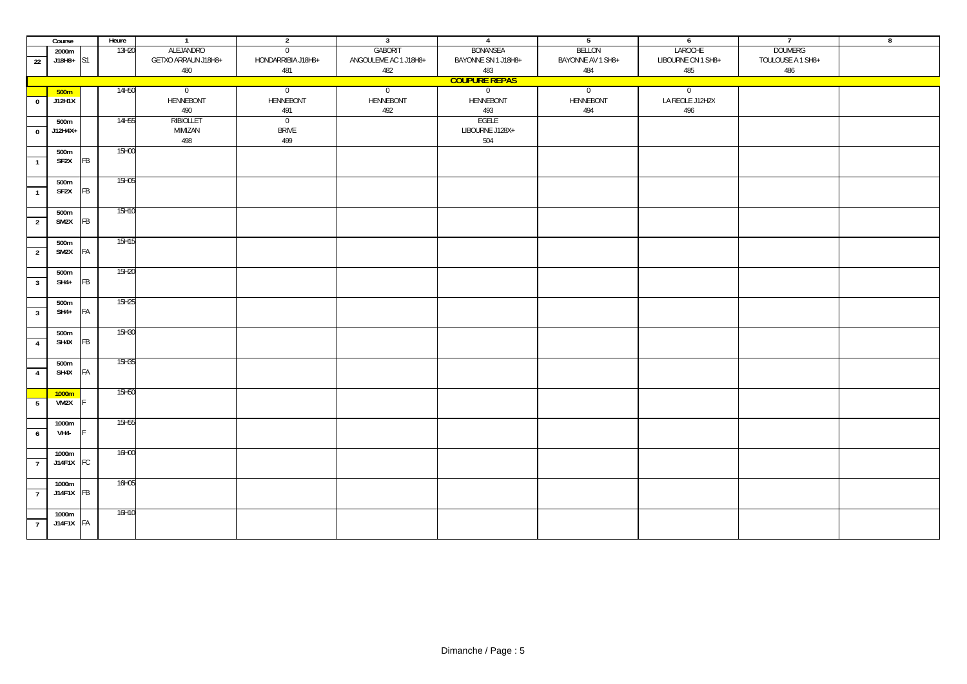|                | Course               |    | Heure             | $\overline{1}$      | $\overline{2}$     | $\overline{\mathbf{3}}$ | $\overline{4}$      | $5\overline{)}$   | $6\overline{6}$    | $\overline{7}$    | $\overline{\mathbf{8}}$ |  |  |
|----------------|----------------------|----|-------------------|---------------------|--------------------|-------------------------|---------------------|-------------------|--------------------|-------------------|-------------------------|--|--|
|                | 2000m                |    | 13H20             | ALEJANDRO           | $\overline{0}$     | GABORIT                 | BONANSEA            | <b>BELLON</b>     | LAROCHE            | <b>DOUMERG</b>    |                         |  |  |
| 22             | $J18H8+$ S1          |    |                   | GETXO ARRAUN J18H8+ | HONDARRIBIA J18H8+ | ANGOULEME AC 1 J18H8+   | BAYONNE SN 1 J18H8+ | BAYONNE AV 1 SH8+ | LIBOURNE CN 1 SH8+ | TOULOUSE A 1 SH8+ |                         |  |  |
|                |                      |    |                   | 480                 | 481                | 482                     | 483                 | 484               | 485                | 486               |                         |  |  |
|                | <b>COUPURE REPAS</b> |    |                   |                     |                    |                         |                     |                   |                    |                   |                         |  |  |
|                | 500 <sub>m</sub>     |    | 14H50             | $\overline{0}$      | $\overline{0}$     | $\overline{0}$          | $\overline{0}$      | $\overline{0}$    | $\overline{0}$     |                   |                         |  |  |
| $\bf{0}$       | J12H1X               |    |                   | HENNEBONT           | HENNEBONT          | HENNEBONT               | HENNEBONT           | HENNEBONT         | LA REOLE J12H2X    |                   |                         |  |  |
|                |                      |    |                   | 490                 | 491                | 492                     | 493                 | 494               | 496                |                   |                         |  |  |
|                | 500m                 |    | 14H55             | RIBIOLLET           | $\overline{0}$     |                         | EGELE               |                   |                    |                   |                         |  |  |
| $\bf{0}$       | J12H4X+              |    |                   | MIMIZAN             | <b>BRIVE</b>       |                         | LIBOURNE J128X+     |                   |                    |                   |                         |  |  |
|                |                      |    |                   | 498                 | 499                |                         | 504                 |                   |                    |                   |                         |  |  |
|                | 500m                 |    | 15H00             |                     |                    |                         |                     |                   |                    |                   |                         |  |  |
| $\mathbf{1}$   | SF2X                 | FB |                   |                     |                    |                         |                     |                   |                    |                   |                         |  |  |
|                |                      |    |                   |                     |                    |                         |                     |                   |                    |                   |                         |  |  |
|                | 500m                 |    | 15H05             |                     |                    |                         |                     |                   |                    |                   |                         |  |  |
| $\mathbf{1}$   | SF2X                 | FB |                   |                     |                    |                         |                     |                   |                    |                   |                         |  |  |
|                |                      |    |                   |                     |                    |                         |                     |                   |                    |                   |                         |  |  |
|                | 500m                 |    | 15H10             |                     |                    |                         |                     |                   |                    |                   |                         |  |  |
| $\overline{2}$ | SM2X                 | FB |                   |                     |                    |                         |                     |                   |                    |                   |                         |  |  |
|                |                      |    |                   |                     |                    |                         |                     |                   |                    |                   |                         |  |  |
|                | 500m                 |    | 15H15             |                     |                    |                         |                     |                   |                    |                   |                         |  |  |
| $\overline{2}$ | SM2X                 | FA |                   |                     |                    |                         |                     |                   |                    |                   |                         |  |  |
|                |                      |    |                   |                     |                    |                         |                     |                   |                    |                   |                         |  |  |
|                | 500m                 |    | 15H20             |                     |                    |                         |                     |                   |                    |                   |                         |  |  |
| $\overline{3}$ | SH4+                 | FB |                   |                     |                    |                         |                     |                   |                    |                   |                         |  |  |
|                |                      |    |                   |                     |                    |                         |                     |                   |                    |                   |                         |  |  |
|                | 500m                 |    | 15H25             |                     |                    |                         |                     |                   |                    |                   |                         |  |  |
| $\overline{3}$ | $SH4+$               | FA |                   |                     |                    |                         |                     |                   |                    |                   |                         |  |  |
|                |                      |    |                   |                     |                    |                         |                     |                   |                    |                   |                         |  |  |
|                | 500m                 |    | 15H30             |                     |                    |                         |                     |                   |                    |                   |                         |  |  |
| $\overline{4}$ | SH4X                 | FB |                   |                     |                    |                         |                     |                   |                    |                   |                         |  |  |
|                |                      |    |                   |                     |                    |                         |                     |                   |                    |                   |                         |  |  |
|                | 500m                 |    | 15H35             |                     |                    |                         |                     |                   |                    |                   |                         |  |  |
| $\overline{4}$ | SH4X                 | FA |                   |                     |                    |                         |                     |                   |                    |                   |                         |  |  |
|                |                      |    |                   |                     |                    |                         |                     |                   |                    |                   |                         |  |  |
|                | 1000m<br>VM2X        |    | 15H50             |                     |                    |                         |                     |                   |                    |                   |                         |  |  |
| 5              |                      |    |                   |                     |                    |                         |                     |                   |                    |                   |                         |  |  |
|                |                      |    | 15H <sub>55</sub> |                     |                    |                         |                     |                   |                    |                   |                         |  |  |
| $\overline{6}$ | 1000m<br><b>VH4-</b> |    |                   |                     |                    |                         |                     |                   |                    |                   |                         |  |  |
|                |                      |    |                   |                     |                    |                         |                     |                   |                    |                   |                         |  |  |
|                | 1000m                |    | 16H00             |                     |                    |                         |                     |                   |                    |                   |                         |  |  |
| $\overline{7}$ | J14F1X FC            |    |                   |                     |                    |                         |                     |                   |                    |                   |                         |  |  |
|                |                      |    |                   |                     |                    |                         |                     |                   |                    |                   |                         |  |  |
|                | 1000m                |    | 16H05             |                     |                    |                         |                     |                   |                    |                   |                         |  |  |
| $\overline{7}$ | $J14F1X$ FB          |    |                   |                     |                    |                         |                     |                   |                    |                   |                         |  |  |
|                |                      |    |                   |                     |                    |                         |                     |                   |                    |                   |                         |  |  |
|                | 1000m                |    | 16H10             |                     |                    |                         |                     |                   |                    |                   |                         |  |  |
| $\overline{7}$ | J14F1X FA            |    |                   |                     |                    |                         |                     |                   |                    |                   |                         |  |  |
|                |                      |    |                   |                     |                    |                         |                     |                   |                    |                   |                         |  |  |
|                |                      |    |                   |                     |                    |                         |                     |                   |                    |                   |                         |  |  |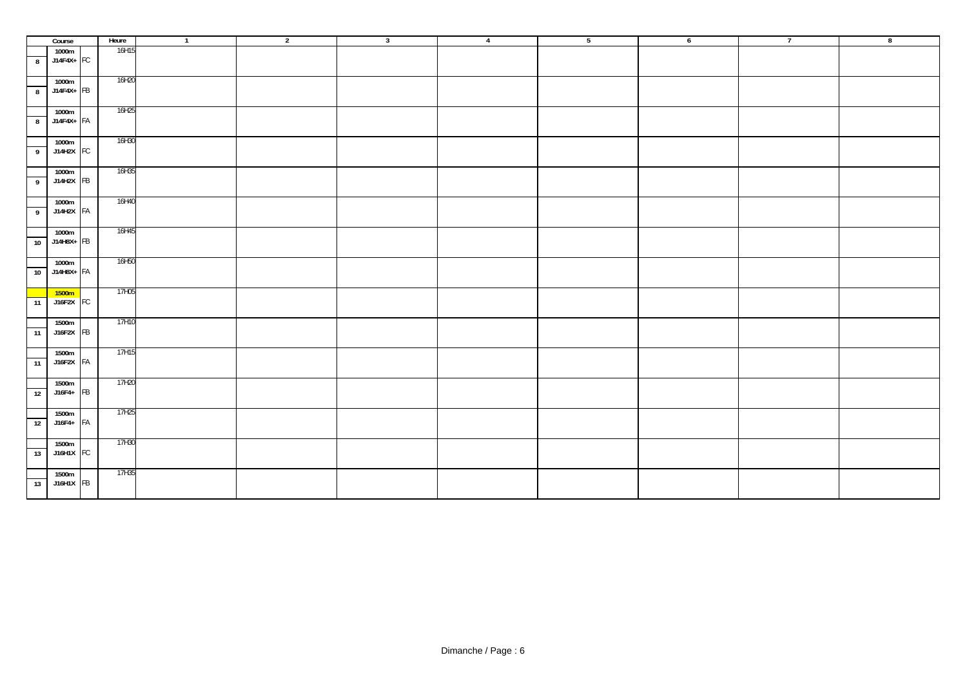|                         | Course             | Heure | $\overline{1}$ | $\overline{2}$ | $\overline{\mathbf{3}}$ | $\overline{4}$ | 5 | $6\overline{6}$ | $\overline{7}$ | $\overline{\mathbf{8}}$ |
|-------------------------|--------------------|-------|----------------|----------------|-------------------------|----------------|---|-----------------|----------------|-------------------------|
|                         | 1000m              | 16H15 |                |                |                         |                |   |                 |                |                         |
| $\boldsymbol{8}$        | $J14F4X+$ FC       |       |                |                |                         |                |   |                 |                |                         |
|                         | 1000m              | 16H20 |                |                |                         |                |   |                 |                |                         |
| $\overline{\mathbf{8}}$ | $J14F4X+$ FB       |       |                |                |                         |                |   |                 |                |                         |
|                         |                    |       |                |                |                         |                |   |                 |                |                         |
|                         | 1000m              | 16H25 |                |                |                         |                |   |                 |                |                         |
| 8                       | $J14F4X+FA$        |       |                |                |                         |                |   |                 |                |                         |
|                         |                    |       |                |                |                         |                |   |                 |                |                         |
|                         | 1000m              | 16H30 |                |                |                         |                |   |                 |                |                         |
| $\overline{9}$          | J14H2X FC          |       |                |                |                         |                |   |                 |                |                         |
|                         |                    | 16H35 |                |                |                         |                |   |                 |                |                         |
| 9                       | 1000m<br>J14H2X FB |       |                |                |                         |                |   |                 |                |                         |
|                         |                    |       |                |                |                         |                |   |                 |                |                         |
|                         | 1000m              | 16H40 |                |                |                         |                |   |                 |                |                         |
| $\overline{9}$          | J14H2X FA          |       |                |                |                         |                |   |                 |                |                         |
|                         |                    |       |                |                |                         |                |   |                 |                |                         |
|                         | 1000m              | 16H45 |                |                |                         |                |   |                 |                |                         |
| 10                      | J14H8X+ FB         |       |                |                |                         |                |   |                 |                |                         |
|                         |                    |       |                |                |                         |                |   |                 |                |                         |
|                         | 1000m              | 16H50 |                |                |                         |                |   |                 |                |                         |
| 10                      | J14H8X+ FA         |       |                |                |                         |                |   |                 |                |                         |
|                         |                    |       |                |                |                         |                |   |                 |                |                         |
|                         | 1500m              | 17H05 |                |                |                         |                |   |                 |                |                         |
| 11                      | $J16F2X$ FC        |       |                |                |                         |                |   |                 |                |                         |
|                         |                    | 17H10 |                |                |                         |                |   |                 |                |                         |
| 11                      | 1500m<br>J16F2X FB |       |                |                |                         |                |   |                 |                |                         |
|                         |                    |       |                |                |                         |                |   |                 |                |                         |
|                         | 1500m              | 17H15 |                |                |                         |                |   |                 |                |                         |
| $\overline{11}$         | J16F2X FA          |       |                |                |                         |                |   |                 |                |                         |
|                         |                    |       |                |                |                         |                |   |                 |                |                         |
|                         | 1500m              | 17H20 |                |                |                         |                |   |                 |                |                         |
| 12                      | J16F4+ FB          |       |                |                |                         |                |   |                 |                |                         |
|                         |                    |       |                |                |                         |                |   |                 |                |                         |
|                         | 1500m              | 17H25 |                |                |                         |                |   |                 |                |                         |
| 12                      | J16F4+ FA          |       |                |                |                         |                |   |                 |                |                         |
|                         |                    |       |                |                |                         |                |   |                 |                |                         |
|                         | 1500m              | 17H30 |                |                |                         |                |   |                 |                |                         |
| 13                      | J16H1X FC          |       |                |                |                         |                |   |                 |                |                         |
|                         | 1500m              | 17H35 |                |                |                         |                |   |                 |                |                         |
| 13                      | J16H1X FB          |       |                |                |                         |                |   |                 |                |                         |
|                         |                    |       |                |                |                         |                |   |                 |                |                         |